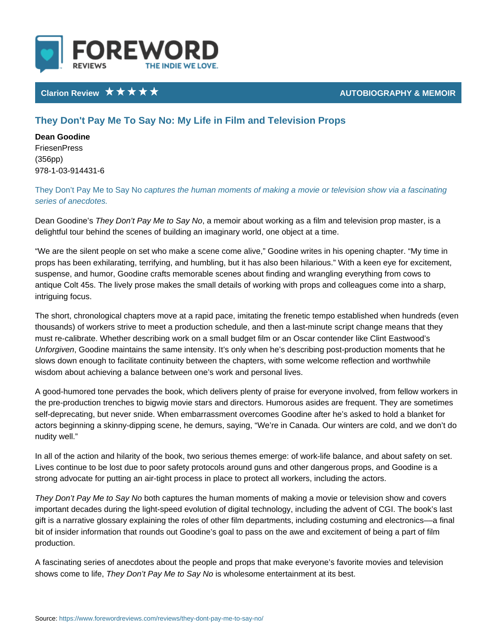## Clarion Review **AUTOBIOGRAPHY &**

# They Don't Pay Me To Say No: My Life in Film and Television Props

Dean Goodine FriesenPress (356pp) 978-1-03-914431-6

## They Don t Pay Me  $\texttt{capSupers}$  othe human moments of making a movie or televisior series of anecdotes.

Dean GoodTnheeys Don t Pay Me, to Bolay no No about working as a film and television property and the master of delightful tour behind the scenes of building an imaginary world, one object at

We are the silent people on set who make a scene come alive, Goodine writes props has been exhilarating, terrifying, and humbling, but it has also been hila suspense, and humor, Goodine crafts memorable scenes about finding and wran antique Colt 45s. The lively prose makes the small details of working with prop intriguing focus.

The short, chronological chapters move at a rapid pace, imitating the frenetic t thousands) of workers strive to meet a production schedule, and then a last-minute that the script change mean must re-calibrate. Whether describing work on a small budget film or an Oscar c Unforgivem odine maintains the same intensity. It s only when he s describing p slows down enough to facilitate continuity between the chapters, with some wel wisdom about achieving a balance between one s work and personal lives.

A good-humored tone pervades the book, which delivers plenty of praise for eve the pre-production trenches to bigwig movie stars and directors. Humorous asid self-deprecating, but never snide. When embarrassment overcomes Goodine afte actors beginning a skinny-dipping scene, he demurs, saying, We re in Canada. nudity well.

In all of the action and hilarity of the book, two serious themes emerge: of wor Lives continue to be lost due to poor safety protocols around guns and other da strong advocate for putting an air-tight process in place to protect all workers,

They Don t Pay Me both a ay a not be the human moments of making a movie or tele important decades during the light-speed evolution of digital technology, includ gift is a narrative glossary explaining the roles of other film departments, inclu bit of insider information that rounds out Goodine s goal to pass on the awe an production.

A fascinating series of anecdotes about the people and props that make everyo shows come ToheliyfeD, on t Pay Me its wSkagy I eNsoome entertainment at its best.